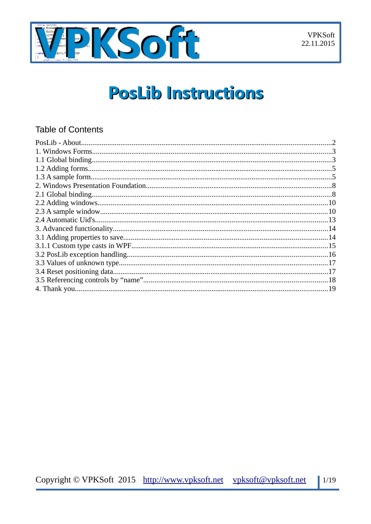

# **PosLib Instructions**

### **Table of Contents**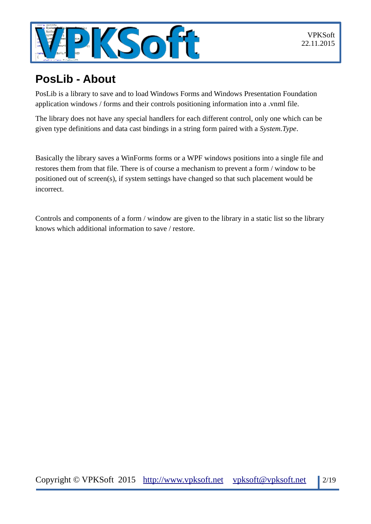

# <span id="page-1-0"></span>**PosLib - About**

PosLib is a library to save and to load Windows Forms and Windows Presentation Foundation application windows / forms and their controls positioning information into a .vnml file.

The library does not have any special handlers for each different control, only one which can be given type definitions and data cast bindings in a string form paired with a *System.Type*.

Basically the library saves a WinForms forms or a WPF windows positions into a single file and restores them from that file. There is of course a mechanism to prevent a form / window to be positioned out of screen(s), if system settings have changed so that such placement would be incorrect.

Controls and components of a form / window are given to the library in a static list so the library knows which additional information to save / restore.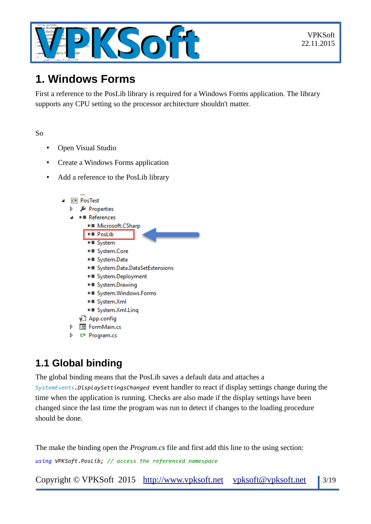

# <span id="page-2-1"></span>**1. Windows Forms**

First a reference to the PosLib library is required for a Windows Forms application. The library supports any CPU setting so the processor architecture shouldn't matter.

#### So

- Open Visual Studio
- Create a Windows Forms application
- Add a reference to the PosLib library



- **> 国 FormMain.cs**
- C<sup>#</sup> Program.cs

# <span id="page-2-0"></span>**1.1 Global binding**

The global binding means that the PosLib saves a default data and attaches a

*SystemEvents.DisplaySettingsChanged* event handler to react if display settings change during the time when the application is running. Checks are also made if the display settings have been changed since the last time the program was run to detect if changes to the loading procedure should be done.

The make the binding open the *Program.cs* file and first add this line to the using section:

*using VPKSoft.PosLib; // access the referenced namespace*

Copyright © VPKSoft 2015 [http://www.vpksoft.net](http://www.vpksoft.net/) [vpksoft@vpksoft.ne](mailto:vpksoft@vpksoft.net)t 3/19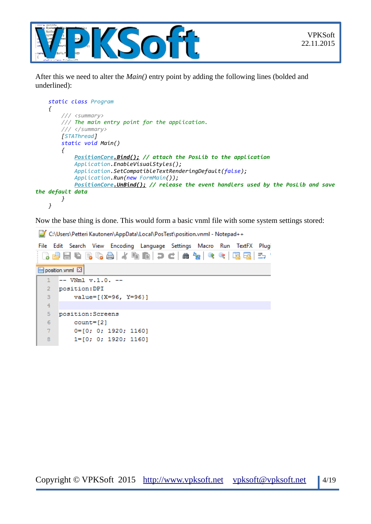



After this we need to alter the *Main()* entry point by adding the following lines (bolded and underlined):

```
 static class Program
     {
         /// <summary>
         /// The main entry point for the application.
         /// </summary>
         [STAThread]
         static void Main()
         {
             PositionCore.Bind(); // attach the PosLib to the application
             Application.EnableVisualStyles();
             Application.SetCompatibleTextRenderingDefault(false);
             Application.Run(new FormMain());
             PositionCore.UnBind(); // release the event handlers used by the PosLib and save
the default data
         }
     }
```
Now the base thing is done. This would form a basic vnml file with some system settings stored:

C:\Users\Petteri Kautonen\AppData\Local\PosTest\position.vnml - Notepad++

|                | File Edit Search View Encoding Language Settings Macro Run TextFX Plugi |  |  |  |  |  |  |  |  |
|----------------|-------------------------------------------------------------------------|--|--|--|--|--|--|--|--|
|                | R 2 8 8 6 8 6 8 1 4 6 6 1 7 C 1 2 7 8 9 6 7 6 8 7 8                     |  |  |  |  |  |  |  |  |
|                | position.vnml E3                                                        |  |  |  |  |  |  |  |  |
|                | $--$ VNml $v.1.0. --$                                                   |  |  |  |  |  |  |  |  |
| 2              | position:DPI                                                            |  |  |  |  |  |  |  |  |
| 3              | $value=[{X=96, Y=96}]$                                                  |  |  |  |  |  |  |  |  |
| $\overline{4}$ |                                                                         |  |  |  |  |  |  |  |  |
| 5              | position: Screens                                                       |  |  |  |  |  |  |  |  |
| 6              | $count=[2]$                                                             |  |  |  |  |  |  |  |  |
| 7              | $0 = [0; 0; 1920; 1160]$                                                |  |  |  |  |  |  |  |  |
| 8              | $1=[0; 0; 1920; 1160]$                                                  |  |  |  |  |  |  |  |  |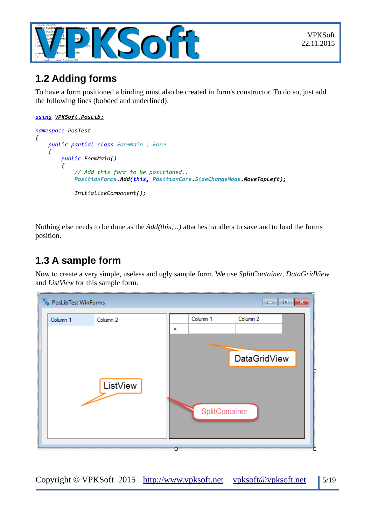

### <span id="page-4-1"></span>**1.2 Adding forms**

To have a form positioned a binding must also be created in form's constructor. To do so, just add the following lines (bobded and underlined):

#### *using VPKSoft.PosLib;*

```
namespace PosTest
{
     public partial class FormMain : Form
     {
         public FormMain()
         {
              // Add this form to be positioned..
              PositionForms .Add( this , PositionCore. SizeChangeMode.MoveTopLeft);
              InitializeComponent();
```
Nothing else needs to be done as the *Add(this, ..)* attaches handlers to save and to load the forms position.

### <span id="page-4-0"></span>**1.3 A sample form**

Now to create a very simple, useless and ugly sample form. We use *SplitContainer*, *DataGridView* and *ListView* for this sample form.

| <b>F<sub>K</sub></b> PosLibTest WinForms |          | $\mathbf{x}$<br>▣<br>-         |
|------------------------------------------|----------|--------------------------------|
| Column 1                                 | Column 2 | Column 2<br>Column 1<br>童      |
|                                          | ListView | DataGridView<br>SplitContainer |
|                                          |          |                                |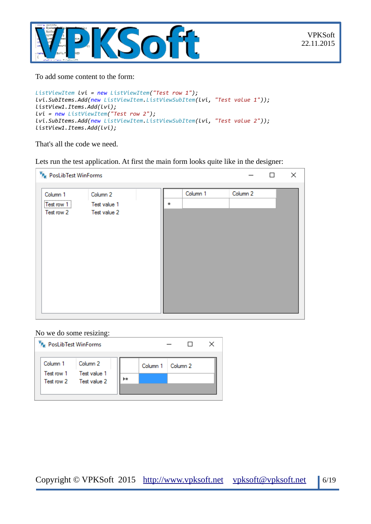

To add some content to the form:

```
ListViewItem lvi = new ListViewItem("Test row 1");
lvi.SubItems.Add(new ListViewItem.ListViewSubItem(lvi, "Test value 1"));
listView1.Items.Add(lvi);
lvi = new ListViewItem("Test row 2");
lvi.SubItems.Add(new ListViewItem.ListViewSubItem(lvi, "Test value 2"));
listView1.Items.Add(lvi);
```
That's all the code we need.

Lets run the test application. At first the main form looks quite like in the designer:

| V <sub>P<sub>K</sub> PosLibTest WinForms</sub><br>×<br>□                                                               |  |   |          |          |  |  |
|------------------------------------------------------------------------------------------------------------------------|--|---|----------|----------|--|--|
| Column 1<br>Column 2<br>,,,,,,,,,,,,,,,,,,,,,,,,,,,,,<br>Test row 1<br>Test value 1<br>:<br>Test row 2<br>Test value 2 |  | ÷ | Column 1 | Column 2 |  |  |

#### No we do some resizing:

| P <sub>K</sub> PosLibTest WinForms |                                                    |                     |  |  |
|------------------------------------|----------------------------------------------------|---------------------|--|--|
| Column 1 Column 2                  |                                                    | Column 1   Column 2 |  |  |
|                                    | Test row 1 Test value 1<br>Test row 2 Test value 2 |                     |  |  |
|                                    |                                                    |                     |  |  |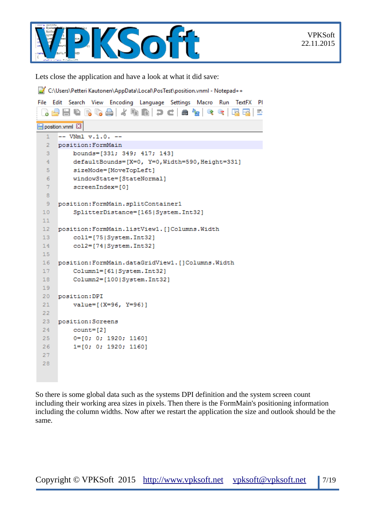

Lets close the application and have a look at what it did save:

C:\Users\Petteri Kautonen\AppData\Local\PosTest\position.vnml - Notepad++

|                 | File Edit Search View Encoding Language Settings Macro Run TextFX Pl |  |  |  |  |  |  |  |
|-----------------|----------------------------------------------------------------------|--|--|--|--|--|--|--|
|                 | B 8 8 8 8 6 8 1 5 6 6 7 6 8 9 6 6 7 6<br>5.                          |  |  |  |  |  |  |  |
|                 | position.vnml                                                        |  |  |  |  |  |  |  |
| 1               | $--$ VNml $v.1.0. --$                                                |  |  |  |  |  |  |  |
| $2^{\circ}$     | position: FormMain                                                   |  |  |  |  |  |  |  |
| З.              | bounds=[331; 349; 417; 143]                                          |  |  |  |  |  |  |  |
| 4 <sup>1</sup>  | defaultBounds=[X=0, Y=0, Width=590, Height=331]                      |  |  |  |  |  |  |  |
| 5.              | sizeMode=[MoveTopLeft]                                               |  |  |  |  |  |  |  |
| 6               | windowState=[StateNormal]                                            |  |  |  |  |  |  |  |
| $\tau$          | screenIndex=[0]                                                      |  |  |  |  |  |  |  |
| 8               |                                                                      |  |  |  |  |  |  |  |
| 9.              | position: FormMain.splitContainer1                                   |  |  |  |  |  |  |  |
| 10 <sub>1</sub> | SplitterDistance=[165 System.Int32]                                  |  |  |  |  |  |  |  |
| 11 <sub>1</sub> |                                                                      |  |  |  |  |  |  |  |
| 12 <sup>7</sup> | position: FormMain.listView1. []Columns.Width                        |  |  |  |  |  |  |  |
| 13 <sup>°</sup> | coll=[75 System.Int32]                                               |  |  |  |  |  |  |  |
| 14              | col2=[74 System.Int32]                                               |  |  |  |  |  |  |  |
| 15              |                                                                      |  |  |  |  |  |  |  |
| 16 <sup>°</sup> | position: FormMain.dataGridView1. []Columns.Width                    |  |  |  |  |  |  |  |
| 17 <sup>2</sup> | Column1=[61 System.Int32]                                            |  |  |  |  |  |  |  |
| 18              | Column2=[100 System.Int32]                                           |  |  |  |  |  |  |  |
| 19              |                                                                      |  |  |  |  |  |  |  |
| 20              | position: DPI                                                        |  |  |  |  |  |  |  |
| 21              | value=[{X=96, Y=96}]                                                 |  |  |  |  |  |  |  |
| 22.             |                                                                      |  |  |  |  |  |  |  |
| 23              | position: Screens                                                    |  |  |  |  |  |  |  |
| 24              | $count = [2]$                                                        |  |  |  |  |  |  |  |
| $25 -$          | $0=[0; 0; 1920; 1160]$                                               |  |  |  |  |  |  |  |
| 26              | $1=[0; 0; 1920; 1160]$                                               |  |  |  |  |  |  |  |
| 27              |                                                                      |  |  |  |  |  |  |  |
| 28              |                                                                      |  |  |  |  |  |  |  |
|                 |                                                                      |  |  |  |  |  |  |  |

So there is some global data such as the systems DPI definition and the system screen count including their working area sizes in pixels. Then there is the FormMain's positioning information including the column widths. Now after we restart the application the size and outlook should be the same.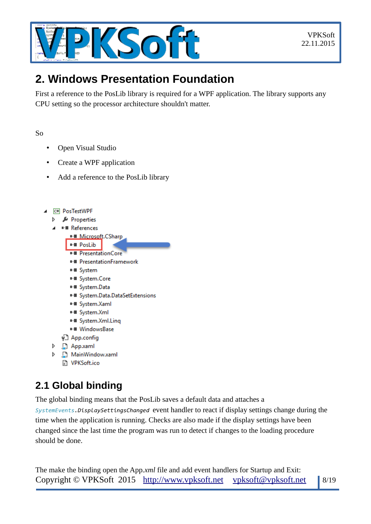

# <span id="page-7-1"></span>**2. Windows Presentation Foundation**

First a reference to the PosLib library is required for a WPF application. The library supports any CPU setting so the processor architecture shouldn't matter.

So

- Open Visual Studio
- Create a WPF application
- Add a reference to the PosLib library
- C# PosTestWPF
	- Þ Properties
	- **■** References



# <span id="page-7-0"></span>**2.1 Global binding**

 $\triangleright$ 

D

The global binding means that the PosLib saves a default data and attaches a

*SystemEvents.DisplaySettingsChanged* event handler to react if display settings change during the time when the application is running. Checks are also made if the display settings have been changed since the last time the program was run to detect if changes to the loading procedure should be done.

The make the binding open the App*.xml* file and add event handlers for Startup and Exit: Copyright © VPKSoft 2015 [http://www.vpksoft.net](http://www.vpksoft.net/) [vpksoft@vpksoft.ne](mailto:vpksoft@vpksoft.net)t | 8/19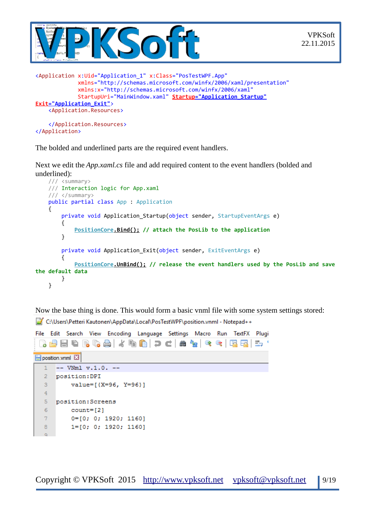

<Application x:Uid="Application\_1" x:Class="PosTestWPF.App" xmlns="http://schemas.microsoft.com/winfx/2006/xaml/presentation" xmlns:x="http://schemas.microsoft.com/winfx/2006/xaml" StartupUri="MainWindow.xaml" **Startup="Application\_Startup" Exit="Application\_Exit"**> <Application.Resources>

```
 </Application.Resources>
</Application>
```
The bolded and underlined parts are the required event handlers.

Next we edit the *App.xaml.cs* file and add required content to the event handlers (bolded and underlined):

```
 /// <summary>
     /// Interaction logic for App.xaml
     /// </summary>
     public partial class App : Application
     {
        private void Application Startup(object sender, StartupEventArgs e)
         {
             PositionCore.Bind(); // attach the PosLib to the application
         }
         private void Application_Exit(object sender, ExitEventArgs e)
         {
             PositionCore.UnBind(); // release the event handlers used by the PosLib and save
the default data
         }
     }
```
Now the base thing is done. This would form a basic vnml file with some system settings stored:

C:\Users\Petteri Kautonen\AppData\Local\PosTestWPF\position.vnml - Notepad++

|                | File Edit Search View Encoding Language Settings Macro Run TextFX Plugi |  |  |  |
|----------------|-------------------------------------------------------------------------|--|--|--|
|                | : B 2 2 2 4 3 4 4 4 6 6 7 c 8 4 4 4 4 5 5 7                             |  |  |  |
|                | position.vnml E3                                                        |  |  |  |
|                | $--$ VNm1 $v.1.0. --$                                                   |  |  |  |
| $\overline{2}$ | position:DPI                                                            |  |  |  |
| 3              | $value=[{X=96, Y=96}]$                                                  |  |  |  |
| 4              |                                                                         |  |  |  |
| 5              | position: Screens                                                       |  |  |  |
| 6              | $count = [2]$                                                           |  |  |  |
| 7              | $0 = [0; 0; 1920; 1160]$                                                |  |  |  |
| 8              | $1 = [0; 0; 1920; 1160]$                                                |  |  |  |
| $\alpha$       |                                                                         |  |  |  |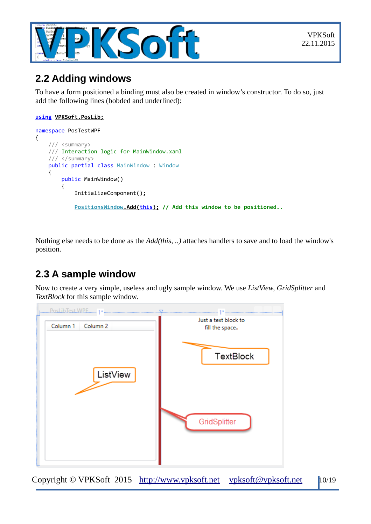

### <span id="page-9-1"></span>**2.2 Adding windows**

To have a form positioned a binding must also be created in window's constructor. To do so, just add the following lines (bobded and underlined):

#### **using VPKSoft.PosLib;**

```
namespace PosTestWPF
{
     /// <summary>
     /// Interaction logic for MainWindow.xaml
     /// </summary>
     public partial class MainWindow : Window
     {
         public MainWindow()
         {
             InitializeComponent();
             PositionsWindow .Add( this); // Add this window to be positioned..
```
Nothing else needs to be done as the *Add(this, ..)* attaches handlers to save and to load the window's position.

# <span id="page-9-0"></span>**2.3 A sample window**

Now to create a very simple, useless and ugly sample window. We use *ListView*, *GridSplitter* and *TextBlock* for this sample window.



Copyright © VPKSoft 2015 [http://www.vpksoft.net](http://www.vpksoft.net/) [vpksoft@vpksoft.net](mailto:vpksoft@vpksoft.net) 10/19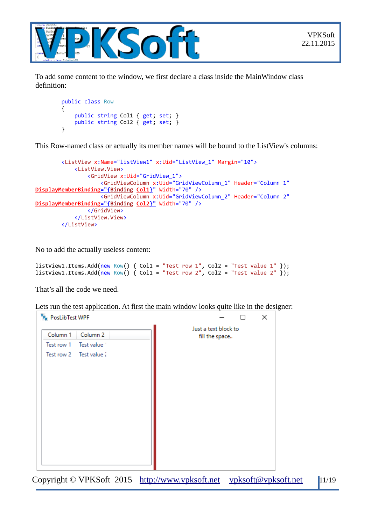



To add some content to the window, we first declare a class inside the MainWindow class definition:

```
 public class Row
        {
            public string Col1 { get; set; }
            public string Col2 { get; set; }
 }
```
This Row-named class or actually its member names will be bound to the ListView's columns:

```
 <ListView x:Name="listView1" x:Uid="ListView_1" Margin="10">
             <ListView.View>
                 <GridView x:Uid="GridView_1">
                      <GridViewColumn x:Uid="GridViewColumn_1" Header="Column 1"
 DisplayMemberBinding ="{Binding Col1}" Width="70" />
                      <GridViewColumn x:Uid="GridViewColumn_2" Header="Column 2"
 DisplayMemberBinding ="{Binding Col2}" Width="70" />
                 </GridView>
             </ListView.View>
         </ListView>
```
No to add the actually useless content:

```
listView1.Items.Add(new Row() { Col1 = "Test row 1", Col2 = "Test value 1" });
listView1.Items.Add(new Row() { Coll = "Test row 2", Col2 = "Test value 2" });
```
That's all the code we need.

Lets run the test application. At first the main window looks quite like in the designer:

| P <sub>K</sub> PosLibTest WPF   | ×<br>П                                 |
|---------------------------------|----------------------------------------|
| Column 1<br>Column <sub>2</sub> | Just a text block to<br>fill the space |
| Test row 1 Test value           |                                        |
| Test row 2 Test value 2         |                                        |
|                                 |                                        |
|                                 |                                        |

Copyright © VPKSoft 2015 [http://www.vpksoft.net](http://www.vpksoft.net/) [vpksoft@vpksoft.net](mailto:vpksoft@vpksoft.net) 11/19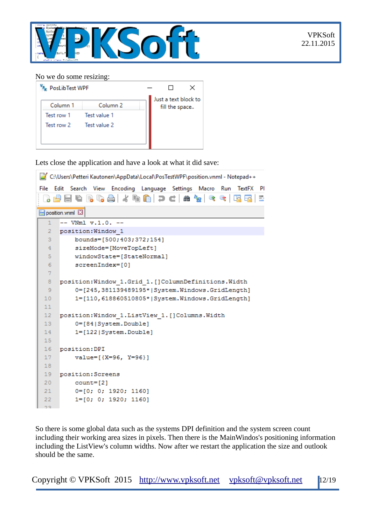

#### No we do some resizing:



Lets close the application and have a look at what it did save:

```
C:\Users\Petteri Kautonen\AppData\Local\PosTestWPF\position.vnml - Notepad++
File Edit Search View Encoding Language Settings Macro Run TextFX PI
  position.vnml E3
      -- VNm1 v.1.0. --\mathbf{1}\overline{2}position: Window 1
  3
          bounds=[500;403;372;154]
  \overline{4}sizeMode=[MoveTopLeft]
  5
          windowState=[StateNormal]
  6\phantom{1}6screenIndex=[0]
  \overline{7}\overline{8}position: Window 1. Grid 1. [] ColumnDefinitions. Width
  \overline{9}0=[245,381139489195*|System.Windows.GridLength]
 101=[110,618860510805*|System.Windows.GridLength]
 1112position: Window 1. ListView 1. [] Columns. Width
 130=[84|System.Double]
 14
          1=[122|System.Double]
 1516position: DPI
 17value=[{X=96, Y=96}]
 18
 19
      position: Screens
 20
          count = [2]210=[0; 0; 1920; 1160]1 = [0; 0; 1920; 1160]22
```
So there is some global data such as the systems DPI definition and the system screen count including their working area sizes in pixels. Then there is the MainWindos's positioning information including the ListView's column widths. Now after we restart the application the size and outlook should be the same.

Copyright © VPKSoft 2015 [http://www.vpksoft.net](http://www.vpksoft.net/) [vpksoft@vpksoft.net](mailto:vpksoft@vpksoft.net) 12/19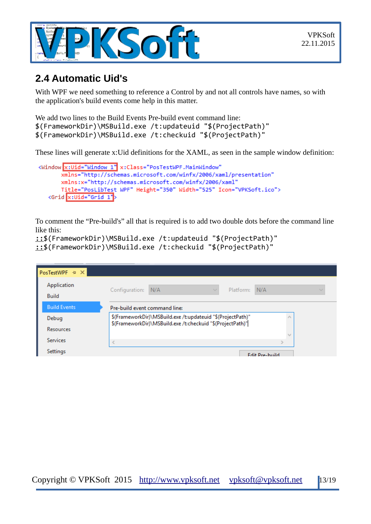

### <span id="page-12-0"></span>**2.4 Automatic Uid's**

With WPF we need something to reference a Control by and not all controls have names, so with the application's build events come help in this matter.

```
We add two lines to the Build Events Pre-build event command line:
$(FrameworkDir)\MSBuild.exe /t:updateuid "$(ProjectPath)"
$(FrameworkDir)\MSBuild.exe /t:checkuid "$(ProjectPath)"
```
These lines will generate x:Uid definitions for the XAML, as seen in the sample window definition:

```
<Window x:Uid="Window 1" x:Class="PosTestWPF.MainWindow"
      xmlns="http://schemas.microsoft.com/winfx/2006/xaml/presentation"
      xmlns:x="http://schemas.microsoft.com/winfx/2006/xaml"
      Title="PosLibTest WPF" Height="350" Width="525" Icon="VPKSoft.ico">
   <Grid x:Uid="Grid 1">
```
To comment the "Pre-build's" all that is required is to add two double dots before the command line like this:

```
::$(FrameworkDir)\MSBuild.exe /t:updateuid "$(ProjectPath)"
::$(FrameworkDir)\MSBuild.exe /t:checkuid "$(ProjectPath)"
```

| PosTestWPF $\# \times$      |                                                                                                                           |
|-----------------------------|---------------------------------------------------------------------------------------------------------------------------|
| Application<br><b>Build</b> | Configuration: N/A<br>Platform: N/A<br>$\sim$                                                                             |
| <b>Build Events</b>         | Pre-build event command line:                                                                                             |
| Debug                       | \$(FrameworkDir)\MSBuild.exe /t:updateuid "\$(ProjectPath)"<br>\$(FrameworkDir)\MSBuild.exe /t:checkuid "\$(ProjectPath)" |
| Resources                   |                                                                                                                           |
| <b>Services</b>             | $\epsilon$                                                                                                                |
| Settings                    | <b>Edit Pre-huild</b>                                                                                                     |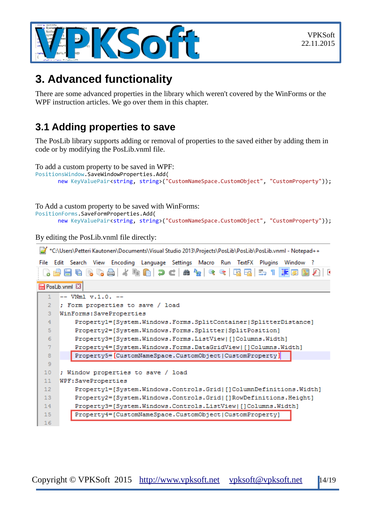

# <span id="page-13-1"></span>**3. Advanced functionality**

There are some advanced properties in the library which weren't covered by the WinForms or the WPF instruction articles. We go over them in this chapter.

### <span id="page-13-0"></span>**3.1 Adding properties to save**

The PosLib library supports adding or removal of properties to the saved either by adding them in code or by modifying the PosLib.vnml file.

To add a custom property to be saved in WPF:

```
PositionsWindow.SaveWindowProperties.Add(
      new KeyValuePair<string, string>("CustomNameSpace.CustomObject", "CustomProperty"));
```
To Add a custom property to be saved with WinForms:

PositionForms.SaveFormProperties.Add(

```
new KeyValuePair<string, string>("CustomNameSpace.CustomObject", "CustomProperty"));
```
By editing the PosLib.vnml file directly:

| *C:\Users\Petteri Kautonen\Documents\Visual Studio 2013\Projects\PosLib\PosLib\PosLib.vnml - Notepad++ |                                                                               |  |  |  |  |  |
|--------------------------------------------------------------------------------------------------------|-------------------------------------------------------------------------------|--|--|--|--|--|
| File                                                                                                   | Edit Search View Encoding Language Settings Macro Run TextFX Plugins Window ? |  |  |  |  |  |
|                                                                                                        | 正属<br>E. 1<br>Ð                                                               |  |  |  |  |  |
|                                                                                                        | <b>PosLib.vnml E3</b>                                                         |  |  |  |  |  |
|                                                                                                        | $--$ VNm1 $v.1.0. --$                                                         |  |  |  |  |  |
| $\overline{2}$                                                                                         | ; Form properties to save / load                                              |  |  |  |  |  |
| 3                                                                                                      | WinForms: SaveProperties                                                      |  |  |  |  |  |
| $\overline{4}$                                                                                         | Property1=[System.Windows.Forms.SplitContainer SplitterDistance]              |  |  |  |  |  |
| 5                                                                                                      | Property2=[System.Windows.Forms.Splitter SplitPosition]                       |  |  |  |  |  |
| 6                                                                                                      | Property3=[System.Windows.Forms.ListView []Columns.Width]                     |  |  |  |  |  |
| $\overline{7}$                                                                                         | Property4=[System.Windows.Forms.DataGridView []Columns.Width]                 |  |  |  |  |  |
| 8                                                                                                      | Property5=[CustomNameSpace.CustomObject CustomProperty]                       |  |  |  |  |  |
| 9                                                                                                      |                                                                               |  |  |  |  |  |
| 10                                                                                                     | ; Window properties to save / load                                            |  |  |  |  |  |
| 11                                                                                                     | WPF:SaveProperties                                                            |  |  |  |  |  |
| 12 <sub>2</sub>                                                                                        | Property1=[System.Windows.Controls.Grid []ColumnDefinitions.Width]            |  |  |  |  |  |
| 13                                                                                                     | Property2=[System.Windows.Controls.Grid []RowDefinitions.Height]              |  |  |  |  |  |
| 14                                                                                                     | Property3=[System.Windows.Controls.ListView []Columns.Width]                  |  |  |  |  |  |
| 15 <sub>1</sub>                                                                                        | Property4=[CustomNameSpace.CustomObject CustomProperty]                       |  |  |  |  |  |
| 16                                                                                                     |                                                                               |  |  |  |  |  |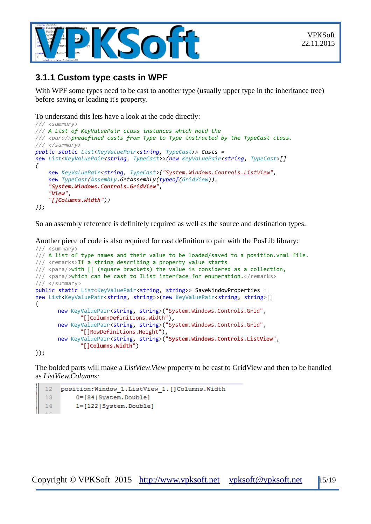

### <span id="page-14-0"></span>**3.1.1 Custom type casts in WPF**

With WPF some types need to be cast to another type (usually upper type in the inheritance tree) before saving or loading it's property.

To understand this lets have a look at the code directly:

```
/// <summary>
/// A List of KeyValuePair class instances which hold the
/// <para/>predefined casts from Type to Type instructed by the TypeCast class.
/// </summary>
public static List<KeyValuePair<string, TypeCast>> Casts =
new List<KeyValuePair<string, TypeCast>>(new KeyValuePair<string, TypeCast>[] 
{
     new KeyValuePair<string, TypeCast>("System.Windows.Controls.ListView", 
     new TypeCast(Assembly.GetAssembly(typeof(GridView)),
     "System.Windows.Controls.GridView", 
     "View", 
     "[]Columns.Width"))
});
```
So an assembly reference is definitely required as well as the source and destination types.

Another piece of code is also required for cast definition to pair with the PosLib library: /// <summary>

```
/// A list of type names and their value to be loaded/saved to a position.vnml file.
/// <remarks>If a string describing a property value starts
/// <para/>with [] (square brackets) the value is considered as a collection,
/// <para/>which can be cast to IList interface for enumeration.</remarks>
/// </summary>
public static List<KeyValuePair<string, string>> SaveWindowProperties =
new List<KeyValuePair<string, string>>(new KeyValuePair<string, string>[]
{
      new KeyValuePair<string, string>("System.Windows.Controls.Grid",
              "[]ColumnDefinitions.Width"),
       new KeyValuePair<string, string>("System.Windows.Controls.Grid",
              "[]RowDefinitions.Height"),
       new KeyValuePair<string, string>("System.Windows.Controls.ListView",
              "[]Columns.Width")
```
});

The bolded parts will make a *ListView.View* property to be cast to GridView and then to be handled as *ListView.Columns:*

```
12position: Window 1. ListView 1. [] Columns. Width
130=[84|System.Double]
141=[122|System.Double]
```
Copyright © VPKSoft 2015 [http://www.vpksoft.net](http://www.vpksoft.net/) [vpksoft@vpksoft.net](mailto:vpksoft@vpksoft.net) 15/19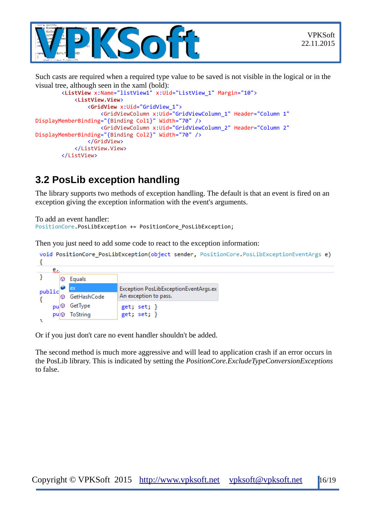

Such casts are required when a required type value to be saved is not visible in the logical or in the visual tree, although seen in the xaml (bold):

```
 <ListView x:Name="listView1" x:Uid="ListView_1" Margin="10">
             <ListView.View>
                 <GridView x:Uid="GridView_1">
                     <GridViewColumn x:Uid="GridViewColumn_1" Header="Column 1"
DisplayMemberBinding="{Binding Col1}" Width="70" />
                     <GridViewColumn x:Uid="GridViewColumn_2" Header="Column 2"
DisplayMemberBinding="{Binding Col2}" Width="70" />
                 </GridView>
             </ListView.View>
         </ListView>
```
# <span id="page-15-0"></span>**3.2 PosLib exception handling**

The library supports two methods of exception handling. The default is that an event is fired on an exception giving the exception information with the event's arguments.

```
To add an event handler:
PositionCore.PosLibException += PositionCore PosLibException;
```
Then you just need to add some code to react to the exception information:

|        | void PositionCore PosLibException(object sender, PositionCore PosLibExceptionEventArgs e) |                |                                       |  |  |  |
|--------|-------------------------------------------------------------------------------------------|----------------|---------------------------------------|--|--|--|
| દુ     |                                                                                           |                |                                       |  |  |  |
|        | ω                                                                                         | Equals         |                                       |  |  |  |
| public |                                                                                           | <b>ex</b>      | Exception PosLibExceptionEventArgs.ex |  |  |  |
|        | 62                                                                                        | GetHashCode    | An exception to pass.                 |  |  |  |
|        |                                                                                           | <b>GetType</b> | get; set;                             |  |  |  |
|        | pul⊙                                                                                      | ToString       | get; set; }                           |  |  |  |

Or if you just don't care no event handler shouldn't be added.

The second method is much more aggressive and will lead to application crash if an error occurs in the PosLib library. This is indicated by setting the *PositionCore.ExcludeTypeConversionExceptions* to false.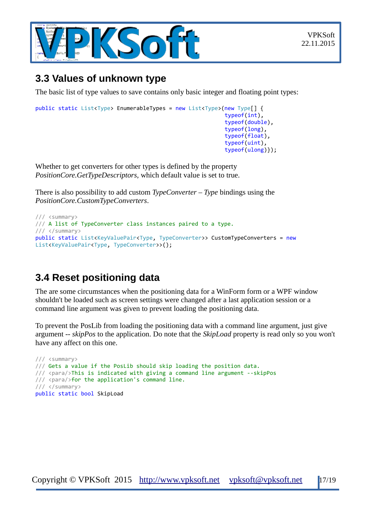

### <span id="page-16-1"></span>**3.3 Values of unknown type**

The basic list of type values to save contains only basic integer and floating point types:

```
public static List<Type> EnumerableTypes = new List<Type>(new Type[] {
                                                                typeof(int), 
                                                                typeof(double),
                                                                typeof(long),
                                                                typeof(float),
                                                                typeof(uint), 
                                                                typeof(ulong)});
```
Whether to get converters for other types is defined by the property *PositionCore.GetTypeDescriptors,* which default value is set to true.

There is also possibility to add custom *TypeConverter* – *Type* bindings using the *PositionCore.CustomTypeConverters*.

```
/// <summary>
/// A list of TypeConverter class instances paired to a type.
/// </summary>
public static List<KeyValuePair<Type, TypeConverter>> CustomTypeConverters = new
List<KeyValuePair<Type, TypeConverter>>();
```
## <span id="page-16-0"></span>**3.4 Reset positioning data**

The are some circumstances when the positioning data for a WinForm form or a WPF window shouldn't be loaded such as screen settings were changed after a last application session or a command line argument was given to prevent loading the positioning data.

To prevent the PosLib from loading the positioning data with a command line argument, just give argument *-- skipPos* to the application. Do note that the *SkipLoad* property is read only so you won't have any affect on this one.

```
/// <summary>
/// Gets a value if the PosLib should skip loading the position data.
/// <para/>This is indicated with giving a command line argument --skipPos
/// <para/>for the application's command line.
/// </summary>
public static bool SkipLoad
```
Copyright © VPKSoft 2015 [http://www.vpksoft.net](http://www.vpksoft.net/) [vpksoft@vpksoft.net](mailto:vpksoft@vpksoft.net) 17/19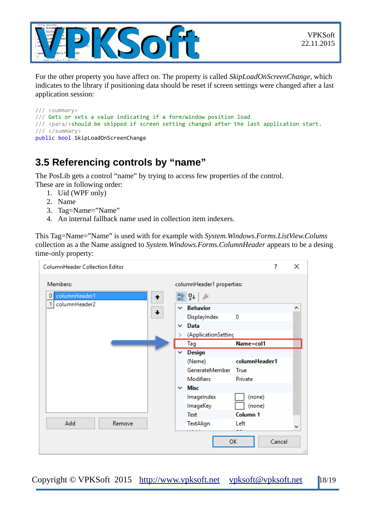

For the other property you have affect on. The property is called *SkipLoadOnScreenChange*, which indicates to the library if positioning data should be reset if screen settings were changed after a last application session:

```
/// <summary>
/// Gets or sets a value indicating if a form/window position load
/// <para/>should be skipped if screen setting changed after the last application start.
/// </summary>
public bool SkipLoadOnScreenChange
```
## <span id="page-17-0"></span>**3.5 Referencing controls by "name"**

The PosLib gets a control "name" by trying to access few properties of the control.

- These are in following order:
	- 1. Uid (WPF only)
	- 2. Name
	- 3. Tag=Name="Name"
	- 4. An internal fallback name used in collection item indexers.

This Tag=Name="Name" is used with for example with *System.Windows.Forms.ListView.Colums* collection as a the Name assigned to *System.Windows.Forms.ColumnHeader* appears to be a desing time-only property:

| <b>ColumnHeader Collection Editor</b> | ?                                | ×   |
|---------------------------------------|----------------------------------|-----|
| Members:<br>0 columnHeader1<br>↟      | columnHeader1 properties:<br>■ 乳 |     |
| columnHeader2                         | $\times$ Behavior                |     |
|                                       | DisplayIndex<br>0                |     |
|                                       | Data<br>$\checkmark$             |     |
|                                       | (ApplicationSetting<br>≯         |     |
|                                       | Name=col1<br>Tag                 |     |
|                                       | <b>Design</b><br>$\checkmark$    |     |
|                                       | columnHeader1<br>(Name)          |     |
|                                       | GenerateMember<br>True           |     |
|                                       | <b>Modifiers</b><br>Private      |     |
|                                       | $\times$ Misc                    |     |
|                                       | (none)<br>ImageIndex             |     |
|                                       | ImageKey<br>(none)               |     |
|                                       | Column 1<br>Text                 |     |
| Add<br>Remove                         | Left<br>TextAlign                |     |
|                                       | <b>OK</b><br>Cancel              | пÎ. |

Copyright © VPKSoft 2015 [http://www.vpksoft.net](http://www.vpksoft.net/) [vpksoft@vpksoft.net](mailto:vpksoft@vpksoft.net) 18/19